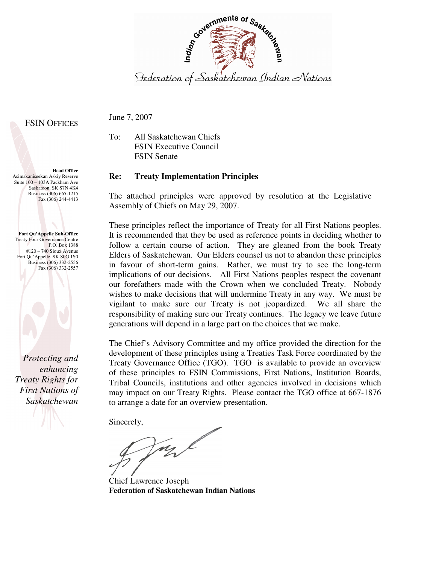

#### **FSIN OFFICES**

June 7, 2007

To: All Saskatchewan Chiefs FSIN Executive Council FSIN Senate

#### **Re: Treaty Implementation Principles**

The attached principles were approved by resolution at the Legislative Assembly of Chiefs on May 29, 2007.

These principles reflect the importance of Treaty for all First Nations peoples. It is recommended that they be used as reference points in deciding whether to follow a certain course of action. They are gleaned from the book Treaty Elders of Saskatchewan. Our Elders counsel us not to abandon these principles in favour of short-term gains. Rather, we must try to see the long-term implications of our decisions. All First Nations peoples respect the covenant our forefathers made with the Crown when we concluded Treaty. Nobody wishes to make decisions that will undermine Treaty in any way. We must be vigilant to make sure our Treaty is not jeopardized. We all share the responsibility of making sure our Treaty continues. The legacy we leave future generations will depend in a large part on the choices that we make.

The Chief's Advisory Committee and my office provided the direction for the development of these principles using a Treaties Task Force coordinated by the Treaty Governance Office (TGO). TGO is available to provide an overview of these principles to FSIN Commissions, First Nations, Institution Boards, Tribal Councils, institutions and other agencies involved in decisions which may impact on our Treaty Rights. Please contact the TGO office at 667-1876 to arrange a date for an overview presentation.

Sincerely,

mal

Chief Lawrence Joseph **Federation of Saskatchewan Indian Nations** 

Asimakaniseekan Askiy Reserve Suite 100 – 103A Packham Ave Saskatoon, SK S7N 4K4 Business (306) 665-1215 Fax (306) 244-4413

**Head Office** 

**Fort Qu'Appelle Sub-Office**  Treaty Four Governance Centre P.O. Box 1388 #120 – 740 Sioux Avenue Fort Qu'Appelle, SK S0G 1S0 Business (306) 332-2556 Fax (306) 332-2557

*Protecting and enhancing Treaty Rights for First Nations of Saskatchewan*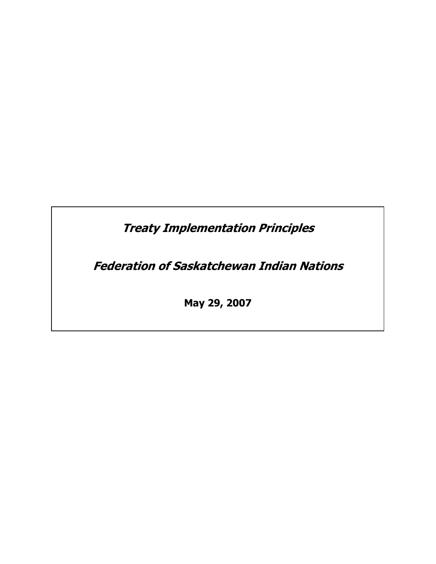Treaty Implementation Principles

Federation of Saskatchewan Indian Nations

May 29, 2007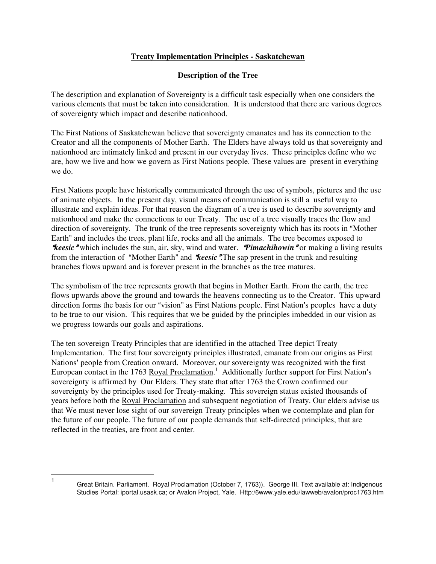#### **Treaty Implementation Principles - Saskatchewan**

#### **Description of the Tree**

The description and explanation of Sovereignty is a difficult task especially when one considers the various elements that must be taken into consideration. It is understood that there are various degrees of sovereignty which impact and describe nationhood.

The First Nations of Saskatchewan believe that sovereignty emanates and has its connection to the Creator and all the components of Mother Earth. The Elders have always told us that sovereignty and nationhood are intimately linked and present in our everyday lives. These principles define who we are, how we live and how we govern as First Nations people. These values are present in everything we do.

First Nations people have historically communicated through the use of symbols, pictures and the use of animate objects. In the present day, visual means of communication is still a useful way to illustrate and explain ideas. For that reason the diagram of a tree is used to describe sovereignty and nationhood and make the connections to our Treaty. The use of a tree visually traces the flow and direction of sovereignty. The trunk of the tree represents sovereignty which has its roots in "Mother" Earth" and includes the trees, plant life, rocks and all the animals. The tree becomes exposed to *\*keesic* "which includes the sun, air, sky, wind and water. *Pimachihowin* "or making a living results from the interaction of "Mother Earth" and *Reesic*. The sap present in the trunk and resulting branches flows upward and is forever present in the branches as the tree matures.

The symbolism of the tree represents growth that begins in Mother Earth. From the earth, the tree flows upwards above the ground and towards the heavens connecting us to the Creator. This upward direction forms the basis for our "vision" as First Nations people. First Nation's peoples have a duty to be true to our vision. This requires that we be guided by the principles imbedded in our vision as we progress towards our goals and aspirations.

The ten sovereign Treaty Principles that are identified in the attached Tree depict Treaty Implementation. The first four sovereignty principles illustrated, emanate from our origins as First Nations' people from Creation onward. Moreover, our sovereignty was recognized with the first European contact in the 1763 Royal Proclamation.<sup>1</sup> Additionally further support for First Nation's sovereignty is affirmed by Our Elders. They state that after 1763 the Crown confirmed our sovereignty by the principles used for Treaty-making. This sovereign status existed thousands of years before both the Royal Proclamation and subsequent negotiation of Treaty. Our elders advise us that We must never lose sight of our sovereign Treaty principles when we contemplate and plan for the future of our people. The future of our people demands that self-directed principles, that are reflected in the treaties, are front and center.

 $\overline{1}$ 

Great Britain. Parliament. Royal Proclamation (October 7, 1763)). George III. Text available at: Indigenous Studies Portal: iportal.usask.ca; or Avalon Project, Yale. Http:/6www.yale.edu/lawweb/avalon/proc1763.htm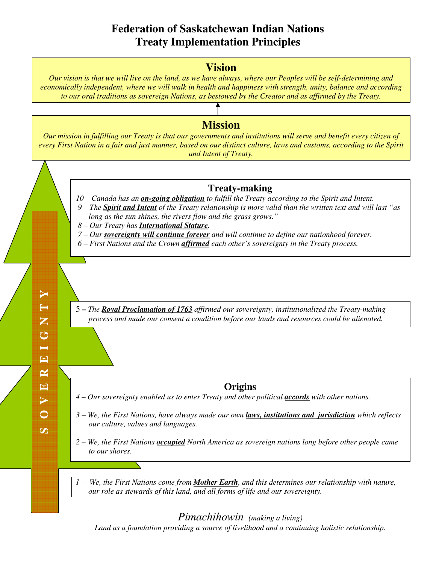# **Federation of Saskatchewan Indian Nations Treaty Implementation Principles**



*Land as a foundation providing a source of livelihood and a continuing holistic relationship.*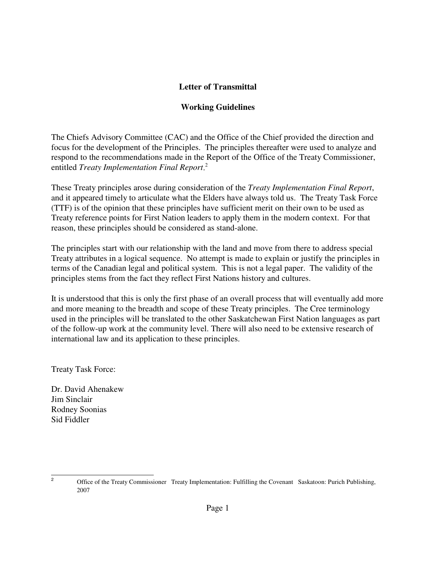## **Letter of Transmittal**

## **Working Guidelines**

The Chiefs Advisory Committee (CAC) and the Office of the Chief provided the direction and focus for the development of the Principles. The principles thereafter were used to analyze and respond to the recommendations made in the Report of the Office of the Treaty Commissioner, entitled *Treaty Implementation Final Report*<sup>2</sup>

These Treaty principles arose during consideration of the *Treaty Implementation Final Report*, and it appeared timely to articulate what the Elders have always told us. The Treaty Task Force (TTF) is of the opinion that these principles have sufficient merit on their own to be used as Treaty reference points for First Nation leaders to apply them in the modern context. For that reason, these principles should be considered as stand-alone.

The principles start with our relationship with the land and move from there to address special Treaty attributes in a logical sequence. No attempt is made to explain or justify the principles in terms of the Canadian legal and political system. This is not a legal paper. The validity of the principles stems from the fact they reflect First Nations history and cultures.

It is understood that this is only the first phase of an overall process that will eventually add more and more meaning to the breadth and scope of these Treaty principles. The Cree terminology used in the principles will be translated to the other Saskatchewan First Nation languages as part of the follow-up work at the community level. There will also need to be extensive research of international law and its application to these principles.

Treaty Task Force:

Dr. David Ahenakew Jim Sinclair Rodney Soonias Sid Fiddler

<sup>&</sup>lt;sup>2</sup> Office of the Treaty Commissioner Treaty Implementation: Fulfilling the Covenant Saskatoon: Purich Publishing, 2007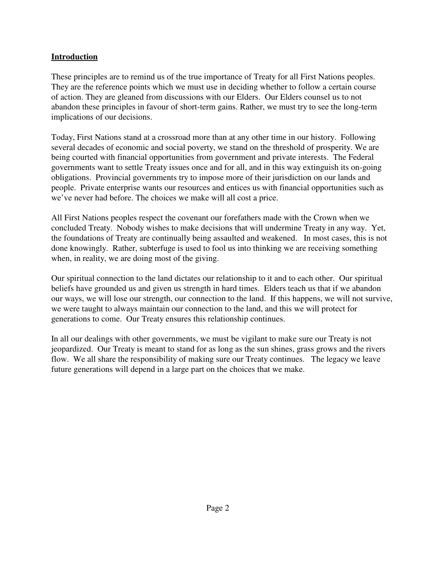# **Introduction**

These principles are to remind us of the true importance of Treaty for all First Nations peoples. They are the reference points which we must use in deciding whether to follow a certain course of action. They are gleaned from discussions with our Elders. Our Elders counsel us to not abandon these principles in favour of short-term gains. Rather, we must try to see the long-term implications of our decisions.

Today, First Nations stand at a crossroad more than at any other time in our history. Following several decades of economic and social poverty, we stand on the threshold of prosperity. We are being courted with financial opportunities from government and private interests. The Federal governments want to settle Treaty issues once and for all, and in this way extinguish its on-going obligations. Provincial governments try to impose more of their jurisdiction on our lands and people. Private enterprise wants our resources and entices us with financial opportunities such as we've never had before. The choices we make will all cost a price.

All First Nations peoples respect the covenant our forefathers made with the Crown when we concluded Treaty. Nobody wishes to make decisions that will undermine Treaty in any way. Yet, the foundations of Treaty are continually being assaulted and weakened. In most cases, this is not done knowingly. Rather, subterfuge is used to fool us into thinking we are receiving something when, in reality, we are doing most of the giving.

Our spiritual connection to the land dictates our relationship to it and to each other. Our spiritual beliefs have grounded us and given us strength in hard times. Elders teach us that if we abandon our ways, we will lose our strength, our connection to the land. If this happens, we will not survive, we were taught to always maintain our connection to the land, and this we will protect for generations to come. Our Treaty ensures this relationship continues.

In all our dealings with other governments, we must be vigilant to make sure our Treaty is not jeopardized. Our Treaty is meant to stand for as long as the sun shines, grass grows and the rivers flow. We all share the responsibility of making sure our Treaty continues. The legacy we leave future generations will depend in a large part on the choices that we make.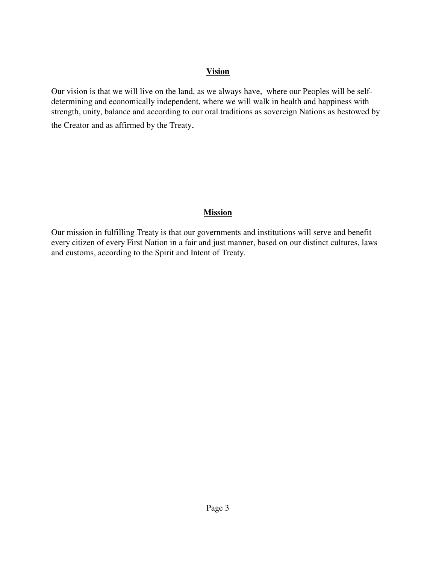#### **Vision**

Our vision is that we will live on the land, as we always have, where our Peoples will be selfdetermining and economically independent, where we will walk in health and happiness with strength, unity, balance and according to our oral traditions as sovereign Nations as bestowed by

the Creator and as affirmed by the Treaty.

#### **Mission**

Our mission in fulfilling Treaty is that our governments and institutions will serve and benefit every citizen of every First Nation in a fair and just manner, based on our distinct cultures, laws and customs, according to the Spirit and Intent of Treaty.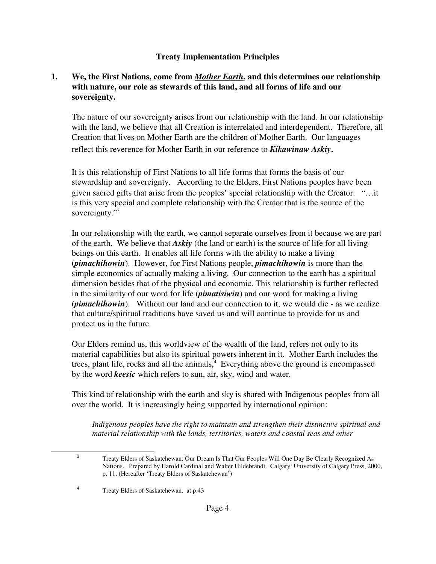## **Treaty Implementation Principles**

## **1. We, the First Nations, come from** *Mother Earth***, and this determines our relationship with nature, our role as stewards of this land, and all forms of life and our sovereignty.**

The nature of our sovereignty arises from our relationship with the land. In our relationship with the land, we believe that all Creation is interrelated and interdependent. Therefore, all Creation that lives on Mother Earth are the children of Mother Earth. Our languages reflect this reverence for Mother Earth in our reference to *Kikawinaw Askiy*.

It is this relationship of First Nations to all life forms that forms the basis of our stewardship and sovereignty. According to the Elders, First Nations peoples have been given sacred gifts that arise from the peoples' special relationship with the Creator. "…it is this very special and complete relationship with the Creator that is the source of the sovereignty."<sup>3</sup>

In our relationship with the earth, we cannot separate ourselves from it because we are part of the earth. We believe that *Askiy* (the land or earth) is the source of life for all living beings on this earth. It enables all life forms with the ability to make a living (*pimachihowin*). However, for First Nations people, *pimachihowin* is more than the simple economics of actually making a living. Our connection to the earth has a spiritual dimension besides that of the physical and economic. This relationship is further reflected in the similarity of our word for life (*pimatisiwin*) and our word for making a living (*pimachihowin*). Without our land and our connection to it, we would die - as we realize that culture/spiritual traditions have saved us and will continue to provide for us and protect us in the future.

Our Elders remind us, this worldview of the wealth of the land, refers not only to its material capabilities but also its spiritual powers inherent in it. Mother Earth includes the trees, plant life, rocks and all the animals,<sup>4</sup> Everything above the ground is encompassed by the word *keesic* which refers to sun, air, sky, wind and water.

This kind of relationship with the earth and sky is shared with Indigenous peoples from all over the world. It is increasingly being supported by international opinion:

*Indigenous peoples have the right to maintain and strengthen their distinctive spiritual and material relationship with the lands, territories, waters and coastal seas and other*

<sup>3</sup> Treaty Elders of Saskatchewan: Our Dream Is That Our Peoples Will One Day Be Clearly Recognized As Nations. Prepared by Harold Cardinal and Walter Hildebrandt. Calgary: University of Calgary Press, 2000, p. 11. (Hereafter 'Treaty Elders of Saskatchewan')

<sup>4</sup> Treaty Elders of Saskatchewan, at p.43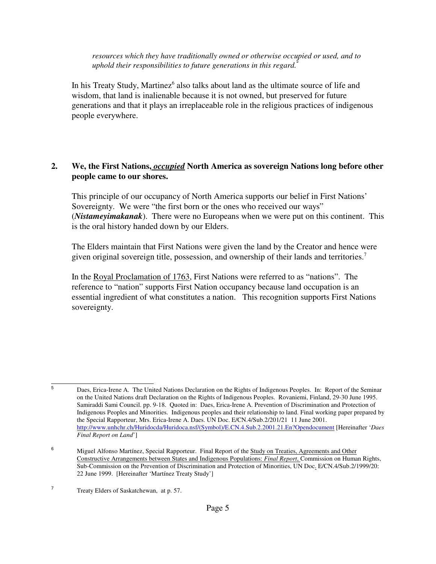*resources which they have traditionally owned or otherwise occupied or used, and to* uphold their responsibilities to future generations in this regard.<sup>\*</sup>

In his Treaty Study, Martinez<sup>6</sup> also talks about land as the ultimate source of life and wisdom, that land is inalienable because it is not owned, but preserved for future generations and that it plays an irreplaceable role in the religious practices of indigenous people everywhere.

## **2. We, the First Nations,** *occupied* **North America as sovereign Nations long before other people came to our shores.**

This principle of our occupancy of North America supports our belief in First Nations' Sovereignty. We were "the first born or the ones who received our ways" (*Nistameyimakanak*). There were no Europeans when we were put on this continent. This is the oral history handed down by our Elders.

The Elders maintain that First Nations were given the land by the Creator and hence were given original sovereign title, possession, and ownership of their lands and territories.<sup>7</sup>

In the Royal Proclamation of 1763, First Nations were referred to as "nations". The reference to "nation" supports First Nation occupancy because land occupation is an essential ingredient of what constitutes a nation. This recognition supports First Nations sovereignty.

<sup>5</sup> Daes, Erica-Irene A. The United Nations Declaration on the Rights of Indigenous Peoples. In: Report of the Seminar on the United Nations draft Declaration on the Rights of Indigenous Peoples. Rovaniemi, Finland, 29-30 June 1995. Samiraddi Sami Council. pp. 9-18. Quoted in: Daes, Erica-Irene A. Prevention of Discrimination and Protection of Indigenous Peoples and Minorities. Indigenous peoples and their relationship to land. Final working paper prepared by the Special Rapporteur, Mrs. Erica-Irene A. Daes. UN Doc. E/CN.4/Sub.2/201/21 11 June 2001. http://www.unhchr.ch/Huridocda/Huridoca.nsf/(Symbol)/E.CN.4.Sub.2.2001.21.En?Opendocument [Hereinafter '*Daes Final Report on Land*']

<sup>6</sup> Miguel Alfonso Martínez, Special Rapporteur. Final Report of the Study on Treaties, Agreements and Other Constructive Arrangements between States and Indigenous Populations: *Final Report*, Commission on Human Rights, Sub-Commission on the Prevention of Discrimination and Protection of Minorities, UN Doc. E/CN.4/Sub.2/1999/20: 22 June 1999. [Hereinafter 'Martínez Treaty Study']

<sup>7</sup> Treaty Elders of Saskatchewan, at p. 57.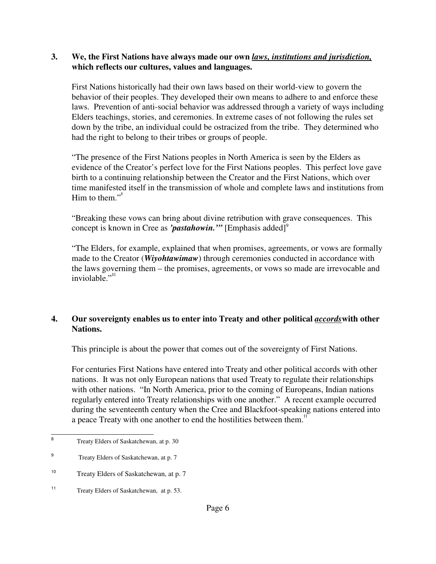#### **3. We, the First Nations have always made our own** *laws, institutions and jurisdiction,* **which reflects our cultures, values and languages.**

First Nations historically had their own laws based on their world-view to govern the behavior of their peoples. They developed their own means to adhere to and enforce these laws. Prevention of anti-social behavior was addressed through a variety of ways including Elders teachings, stories, and ceremonies. In extreme cases of not following the rules set down by the tribe, an individual could be ostracized from the tribe. They determined who had the right to belong to their tribes or groups of people.

"The presence of the First Nations peoples in North America is seen by the Elders as evidence of the Creator's perfect love for the First Nations peoples. This perfect love gave birth to a continuing relationship between the Creator and the First Nations, which over time manifested itself in the transmission of whole and complete laws and institutions from Him to them. $"$ 

"Breaking these vows can bring about divine retribution with grave consequences. This concept is known in Cree as *'pastahowin*.'" [Emphasis added]<sup>9</sup>

"The Elders, for example, explained that when promises, agreements, or vows are formally made to the Creator (*Wiyohtawimaw*) through ceremonies conducted in accordance with the laws governing them – the promises, agreements, or vows so made are irrevocable and inviolable."<sup>10</sup>

## **4. Our sovereignty enables us to enter into Treaty and other political** *accords***with other Nations.**

This principle is about the power that comes out of the sovereignty of First Nations.

For centuries First Nations have entered into Treaty and other political accords with other nations. It was not only European nations that used Treaty to regulate their relationships with other nations. "In North America, prior to the coming of Europeans, Indian nations regularly entered into Treaty relationships with one another." A recent example occurred during the seventeenth century when the Cree and Blackfoot-speaking nations entered into a peace Treaty with one another to end the hostilities between them.<sup>11</sup>

<sup>8</sup> Treaty Elders of Saskatchewan, at p. 30

<sup>9</sup> Treaty Elders of Saskatchewan, at p. 7

<sup>10</sup> Treaty Elders of Saskatchewan, at p. 7

<sup>11</sup> Treaty Elders of Saskatchewan, at p. 53.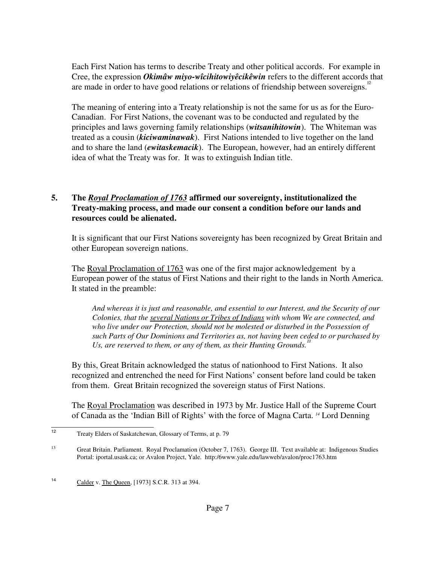Each First Nation has terms to describe Treaty and other political accords. For example in Cree, the expression *Okimâw miyo-wîcihitowiyêcikêwin* refers to the different accords that are made in order to have good relations or relations of friendship between sovereigns.<sup>12</sup>

The meaning of entering into a Treaty relationship is not the same for us as for the Euro-Canadian. For First Nations, the covenant was to be conducted and regulated by the principles and laws governing family relationships (*witsanihitowin*). The Whiteman was treated as a cousin (*kiciwaminawak*). First Nations intended to live together on the land and to share the land (*ewitaskemacik*). The European, however, had an entirely different idea of what the Treaty was for. It was to extinguish Indian title.

## **5. The** *Royal Proclamation of 1763* **affirmed our sovereignty, institutionalized the Treaty-making process, and made our consent a condition before our lands and resources could be alienated.**

It is significant that our First Nations sovereignty has been recognized by Great Britain and other European sovereign nations.

The Royal Proclamation of 1763 was one of the first major acknowledgement by a European power of the status of First Nations and their right to the lands in North America. It stated in the preamble:

*And whereas it is just and reasonable, and essential to our Interest, and the Security of our Colonies, that the several Nations or Tribes of Indians with whom We are connected, and who live under our Protection, should not be molested or disturbed in the Possession of such Parts of Our Dominions and Territories as, not having been ceded to or purchased by* Us, are reserved to them, or any of them, as their Hunting Grounds.<sup>1</sup>

By this, Great Britain acknowledged the status of nationhood to First Nations. It also recognized and entrenched the need for First Nations' consent before land could be taken from them. Great Britain recognized the sovereign status of First Nations.

The Royal Proclamation was described in 1973 by Mr. Justice Hall of the Supreme Court of Canada as the 'Indian Bill of Rights' with the force of Magna Carta. *<sup>14</sup>* Lord Denning

<sup>12</sup> Treaty Elders of Saskatchewan, Glossary of Terms, at p. 79

<sup>&</sup>lt;sup>13</sup> Great Britain. Parliament. Royal Proclamation (October 7, 1763). George III. Text available at: Indigenous Studies Portal: iportal.usask.ca; or Avalon Project, Yale. http:/6www.yale.edu/lawweb/avalon/proc1763.htm

<sup>14</sup> Calder v. The Queen, [1973] S.C.R. 313 at 394.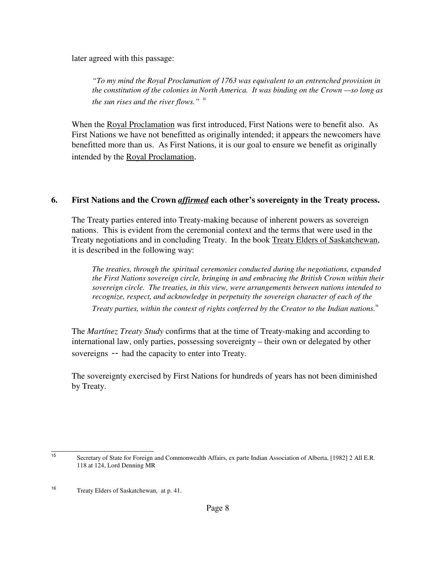later agreed with this passage:

*"To my mind the Royal Proclamation of 1763 was equivalent to an entrenched provision in the constitution of the colonies in North America. It was binding on the Crown —so long as the sun rises and the river flows."* <sup>15</sup>

When the Royal Proclamation was first introduced, First Nations were to benefit also. As First Nations we have not benefitted as originally intended; it appears the newcomers have benefitted more than us. As First Nations, it is our goal to ensure we benefit as originally intended by the Royal Proclamation.

#### **6. First Nations and the Crown** *affirmed* **each other's sovereignty in the Treaty process.**

The Treaty parties entered into Treaty-making because of inherent powers as sovereign nations. This is evident from the ceremonial context and the terms that were used in the Treaty negotiations and in concluding Treaty. In the book Treaty Elders of Saskatchewan, it is described in the following way:

*The treaties, through the spiritual ceremonies conducted during the negotiations, expanded the First Nations sovereign circle, bringing in and embracing the British Crown within their sovereign circle. The treaties, in this view, were arrangements between nations intended to recognize, respect, and acknowledge in perpetuity the sovereign character of each of the*

*Treaty parties, within the context of rights conferred by the Creator to the Indian nations.*<sup>16</sup>

The *Martínez Treaty Study* confirms that at the time of Treaty-making and according to international law, only parties, possessing sovereignty – their own or delegated by other sovereigns -- had the capacity to enter into Treaty.

The sovereignty exercised by First Nations for hundreds of years has not been diminished by Treaty.

<sup>15</sup> Secretary of State for Foreign and Commonwealth Affairs, ex parte Indian Association of Alberta, [1982] 2 All E.R. 118 at 124, Lord Denning MR

<sup>16</sup> Treaty Elders of Saskatchewan, at p. 41.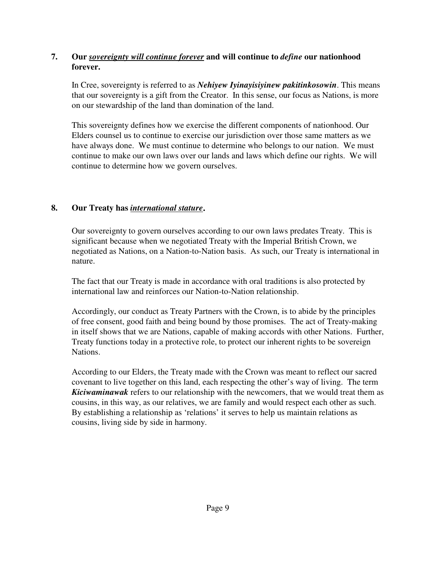# **7. Our** *sovereignty will continue forever* **and will continue to** *define* **our nationhood forever.**

In Cree, sovereignty is referred to as *Nehiyew Iyinayisiyinew pakitinkosowin*. This means that our sovereignty is a gift from the Creator. In this sense, our focus as Nations, is more on our stewardship of the land than domination of the land.

This sovereignty defines how we exercise the different components of nationhood. Our Elders counsel us to continue to exercise our jurisdiction over those same matters as we have always done. We must continue to determine who belongs to our nation. We must continue to make our own laws over our lands and laws which define our rights. We will continue to determine how we govern ourselves.

# **8. Our Treaty has** *international stature*.

Our sovereignty to govern ourselves according to our own laws predates Treaty. This is significant because when we negotiated Treaty with the Imperial British Crown, we negotiated as Nations, on a Nation-to-Nation basis. As such, our Treaty is international in nature.

The fact that our Treaty is made in accordance with oral traditions is also protected by international law and reinforces our Nation-to-Nation relationship.

Accordingly, our conduct as Treaty Partners with the Crown, is to abide by the principles of free consent, good faith and being bound by those promises. The act of Treaty-making in itself shows that we are Nations, capable of making accords with other Nations. Further, Treaty functions today in a protective role, to protect our inherent rights to be sovereign Nations.

According to our Elders, the Treaty made with the Crown was meant to reflect our sacred covenant to live together on this land, each respecting the other's way of living. The term *Kiciwaminawak* refers to our relationship with the newcomers, that we would treat them as cousins, in this way, as our relatives, we are family and would respect each other as such. By establishing a relationship as 'relations' it serves to help us maintain relations as cousins, living side by side in harmony.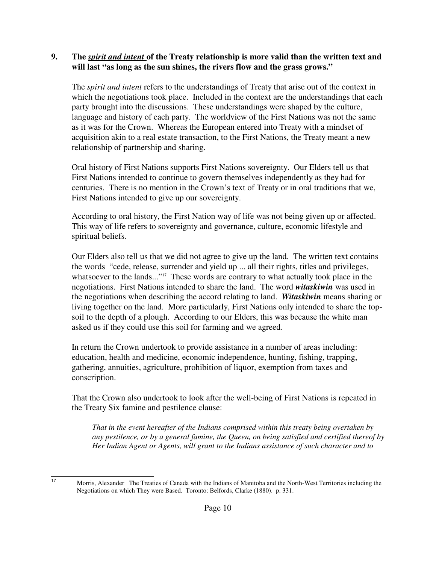### **9. The** *spirit and intent* **of the Treaty relationship is more valid than the written text and will last "as long as the sun shines, the rivers flow and the grass grows."**

The *spirit and intent* refers to the understandings of Treaty that arise out of the context in which the negotiations took place. Included in the context are the understandings that each party brought into the discussions. These understandings were shaped by the culture, language and history of each party. The worldview of the First Nations was not the same as it was for the Crown. Whereas the European entered into Treaty with a mindset of acquisition akin to a real estate transaction, to the First Nations, the Treaty meant a new relationship of partnership and sharing.

Oral history of First Nations supports First Nations sovereignty. Our Elders tell us that First Nations intended to continue to govern themselves independently as they had for centuries. There is no mention in the Crown's text of Treaty or in oral traditions that we, First Nations intended to give up our sovereignty.

According to oral history, the First Nation way of life was not being given up or affected. This way of life refers to sovereignty and governance, culture, economic lifestyle and spiritual beliefs.

Our Elders also tell us that we did not agree to give up the land. The written text contains the words "cede, release, surrender and yield up ... all their rights, titles and privileges, whatsoever to the lands..."<sup>17</sup> These words are contrary to what actually took place in the negotiations. First Nations intended to share the land. The word *witaskiwin* was used in the negotiations when describing the accord relating to land. *Witaskiwin* means sharing or living together on the land. More particularly, First Nations only intended to share the topsoil to the depth of a plough. According to our Elders, this was because the white man asked us if they could use this soil for farming and we agreed.

In return the Crown undertook to provide assistance in a number of areas including: education, health and medicine, economic independence, hunting, fishing, trapping, gathering, annuities, agriculture, prohibition of liquor, exemption from taxes and conscription.

That the Crown also undertook to look after the well-being of First Nations is repeated in the Treaty Six famine and pestilence clause:

*That in the event hereafter of the Indians comprised within this treaty being overtaken by any pestilence, or by a general famine, the Queen, on being satisfied and certified thereof by Her Indian Agent or Agents, will grant to the Indians assistance of such character and to*

<sup>17</sup> Morris, Alexander The Treaties of Canada with the Indians of Manitoba and the North-West Territories including the Negotiations on which They were Based. Toronto: Belfords, Clarke (1880). p. 331.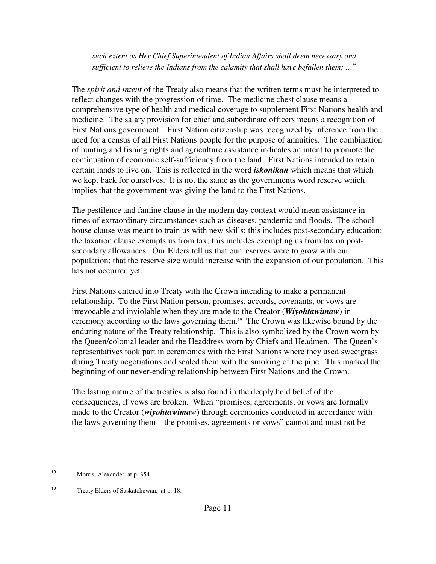*such extent as Her Chief Superintendent of Indian Affairs shall deem necessary and sufficient to relieve the Indians from the calamity that shall have befallen them; …*<sup>18</sup>

The *spirit and intent* of the Treaty also means that the written terms must be interpreted to reflect changes with the progression of time. The medicine chest clause means a comprehensive type of health and medical coverage to supplement First Nations health and medicine. The salary provision for chief and subordinate officers means a recognition of First Nations government. First Nation citizenship was recognized by inference from the need for a census of all First Nations people for the purpose of annuities. The combination of hunting and fishing rights and agriculture assistance indicates an intent to promote the continuation of economic self-sufficiency from the land. First Nations intended to retain certain lands to live on. This is reflected in the word *iskonikan* which means that which we kept back for ourselves. It is not the same as the governments word reserve which implies that the government was giving the land to the First Nations.

The pestilence and famine clause in the modern day context would mean assistance in times of extraordinary circumstances such as diseases, pandemic and floods. The school house clause was meant to train us with new skills; this includes post-secondary education; the taxation clause exempts us from tax; this includes exempting us from tax on postsecondary allowances. Our Elders tell us that our reserves were to grow with our population; that the reserve size would increase with the expansion of our population. This has not occurred yet.

First Nations entered into Treaty with the Crown intending to make a permanent relationship. To the First Nation person, promises, accords, covenants, or vows are irrevocable and inviolable when they are made to the Creator (*Wiyohtawimaw*) in ceremony according to the laws governing them.19 The Crown was likewise bound by the enduring nature of the Treaty relationship. This is also symbolized by the Crown worn by the Queen/colonial leader and the Headdress worn by Chiefs and Headmen. The Queen's representatives took part in ceremonies with the First Nations where they used sweetgrass during Treaty negotiations and sealed them with the smoking of the pipe. This marked the beginning of our never-ending relationship between First Nations and the Crown.

The lasting nature of the treaties is also found in the deeply held belief of the consequences, if vows are broken. When "promises, agreements, or vows are formally made to the Creator (*wiyohtawimaw*) through ceremonies conducted in accordance with the laws governing them – the promises, agreements or vows" cannot and must not be

<sup>18</sup> Morris, Alexander at p. 354.

<sup>19</sup> Treaty Elders of Saskatchewan, at p. 18.